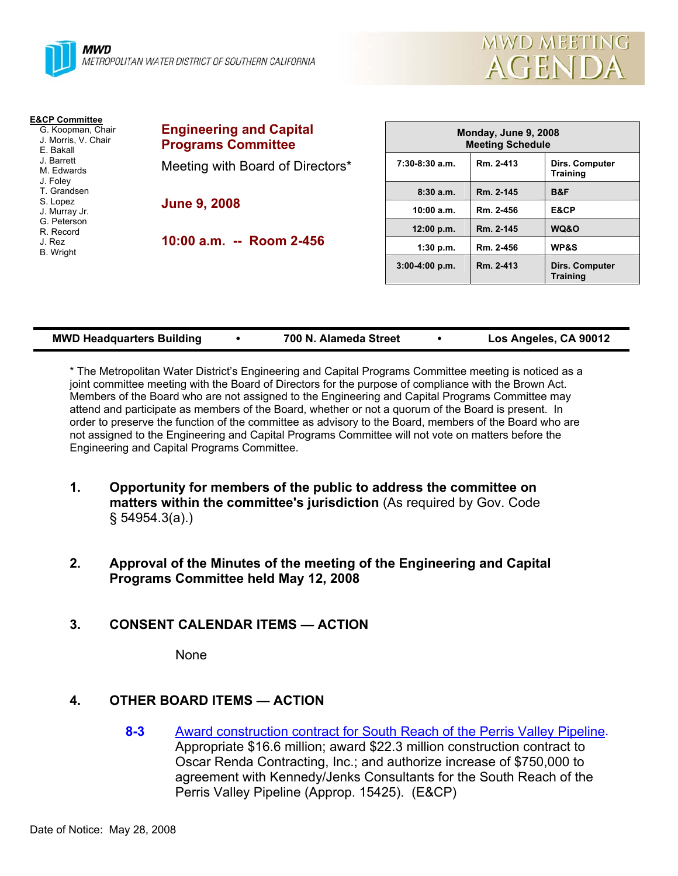



**Training** 

| <b>E&amp;CP Committee</b><br>G. Koopman, Chair<br>J. Morris, V. Chair<br>E. Bakall | <b>Engineering and Capital</b><br><b>Programs Committee</b> | Monday, June 9, 2008<br><b>Meeting Schedule</b> |           |                                   |
|------------------------------------------------------------------------------------|-------------------------------------------------------------|-------------------------------------------------|-----------|-----------------------------------|
| J. Barrett<br>M. Edwards<br>J. Foley                                               | Meeting with Board of Directors*                            | $7:30-8:30$ a.m.                                | Rm. 2-413 | Dirs. Computer<br><b>Training</b> |
| T. Grandsen                                                                        |                                                             | 8:30a.m.                                        | Rm. 2-145 | B&F                               |
| S. Lopez<br>J. Murray Jr.                                                          | <b>June 9, 2008</b>                                         | 10:00 a.m.                                      | Rm. 2-456 | E&CP                              |
| G. Peterson<br>R. Record                                                           |                                                             | 12:00 p.m.                                      | Rm. 2-145 | WQ&O                              |
| J. Rez<br><b>B.</b> Wright                                                         | 10:00 a.m. -- Room 2-456                                    | 1:30 p.m.                                       | Rm. 2-456 | <b>WP&amp;S</b>                   |
|                                                                                    |                                                             | $3:00-4:00$ p.m.                                | Rm. 2-413 | <b>Dirs. Computer</b>             |

| Los Angeles, CA 90012<br><b>MWD Headquarters Building</b><br>700 N. Alameda Street |  |
|------------------------------------------------------------------------------------|--|
|------------------------------------------------------------------------------------|--|

\* The Metropolitan Water District's Engineering and Capital Programs Committee meeting is noticed as a joint committee meeting with the Board of Directors for the purpose of compliance with the Brown Act. Members of the Board who are not assigned to the Engineering and Capital Programs Committee may attend and participate as members of the Board, whether or not a quorum of the Board is present. In order to preserve the function of the committee as advisory to the Board, members of the Board who are not assigned to the Engineering and Capital Programs Committee will not vote on matters before the Engineering and Capital Programs Committee.

- **1. Opportunity for members of the public to address the committee on matters within the committee's jurisdiction** (As required by Gov. Code § 54954.3(a).)
- **2. Approval of the Minutes of the meeting of the Engineering and Capital Programs Committee held May 12, 2008**

#### **3. CONSENT CALENDAR ITEMS — ACTION**

None

# **4. OTHER BOARD ITEMS — ACTION**

**8-3** Award construction contract for South Reach of the Perris Valley Pipeline. Appropriate \$16.6 million; award \$22.3 million construction contract to Oscar Renda Contracting, Inc.; and authorize increase of \$750,000 to agreement with Kennedy/Jenks Consultants for the South Reach of the Perris Valley Pipeline (Approp. 15425). (E&CP)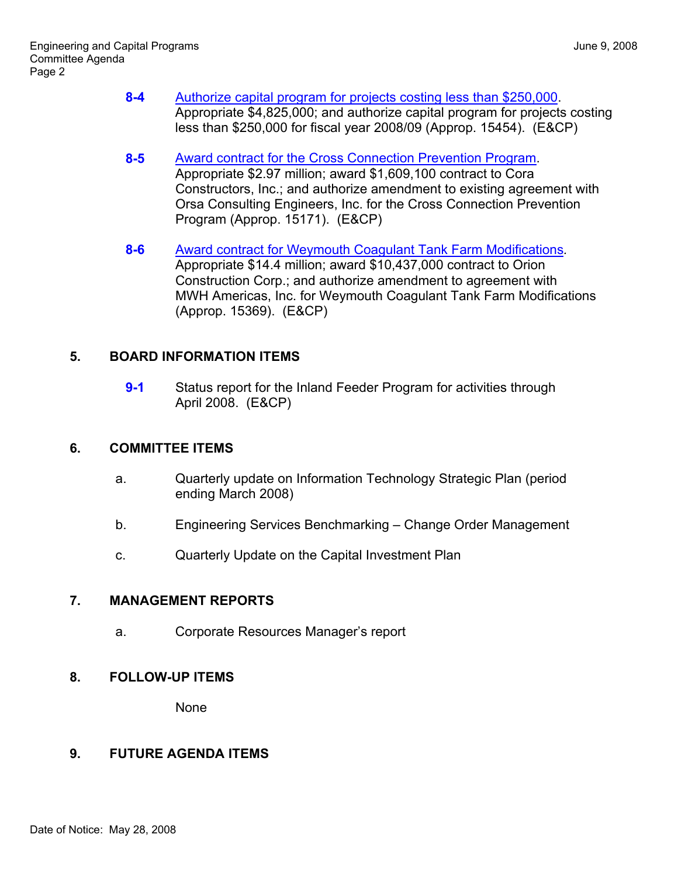- **8-4** Authorize capital program for projects costing less than \$250,000. Appropriate \$4,825,000; and authorize capital program for projects costing less than \$250,000 for fiscal year 2008/09 (Approp. 15454). (E&CP)
- **8-5** Award contract for the Cross Connection Prevention Program. Appropriate \$2.97 million; award \$1,609,100 contract to Cora Constructors, Inc.; and authorize amendment to existing agreement with Orsa Consulting Engineers, Inc. for the Cross Connection Prevention Program (Approp. 15171). (E&CP)
- **8-6** Award contract for Weymouth Coagulant Tank Farm Modifications*.* Appropriate \$14.4 million; award \$10,437,000 contract to Orion Construction Corp.; and authorize amendment to agreement with MWH Americas, Inc. for Weymouth Coagulant Tank Farm Modifications (Approp. 15369). (E&CP)

### **5. BOARD INFORMATION ITEMS**

**9-1** Status report for the Inland Feeder Program for activities through April 2008. (E&CP)

#### **6. COMMITTEE ITEMS**

- a. Quarterly update on Information Technology Strategic Plan (period ending March 2008)
- b. Engineering Services Benchmarking Change Order Management
- c. Quarterly Update on the Capital Investment Plan

# **7. MANAGEMENT REPORTS**

a. Corporate Resources Manager's report

# **8. FOLLOW-UP ITEMS**

None

# **9. FUTURE AGENDA ITEMS**